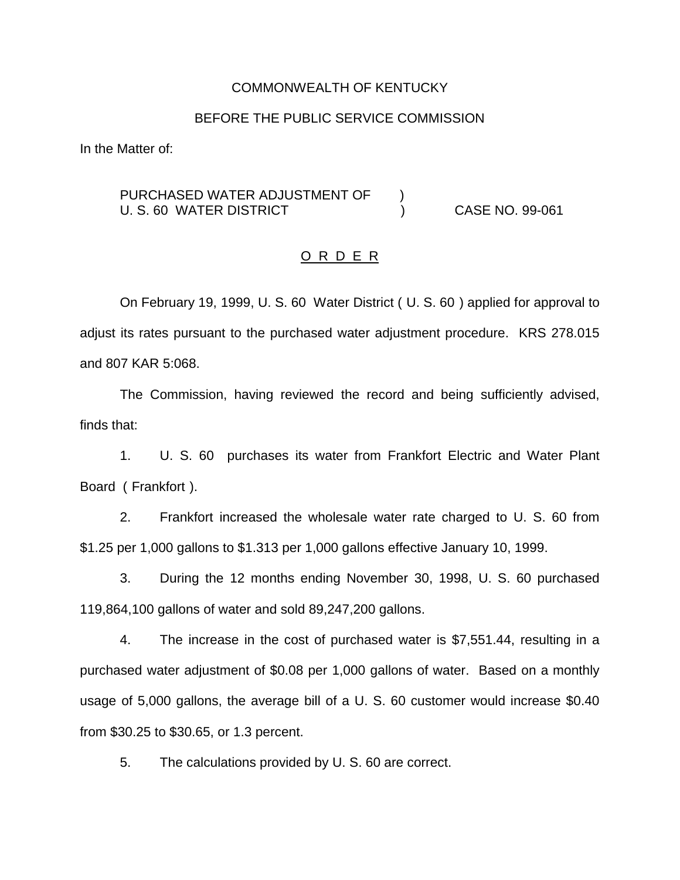### COMMONWEALTH OF KENTUCKY

### BEFORE THE PUBLIC SERVICE COMMISSION

In the Matter of:

## PURCHASED WATER ADJUSTMENT OF  $\qquad$  ) U. S. 60 WATER DISTRICT ) CASE NO. 99-061

## O R D E R

On February 19, 1999, U. S. 60 Water District ( U. S. 60 ) applied for approval to adjust its rates pursuant to the purchased water adjustment procedure. KRS 278.015 and 807 KAR 5:068.

The Commission, having reviewed the record and being sufficiently advised, finds that:

1. U. S. 60 purchases its water from Frankfort Electric and Water Plant Board ( Frankfort ).

2. Frankfort increased the wholesale water rate charged to U. S. 60 from \$1.25 per 1,000 gallons to \$1.313 per 1,000 gallons effective January 10, 1999.

3. During the 12 months ending November 30, 1998, U. S. 60 purchased 119,864,100 gallons of water and sold 89,247,200 gallons.

4. The increase in the cost of purchased water is \$7,551.44, resulting in a purchased water adjustment of \$0.08 per 1,000 gallons of water. Based on a monthly usage of 5,000 gallons, the average bill of a U. S. 60 customer would increase \$0.40 from \$30.25 to \$30.65, or 1.3 percent.

5. The calculations provided by U. S. 60 are correct.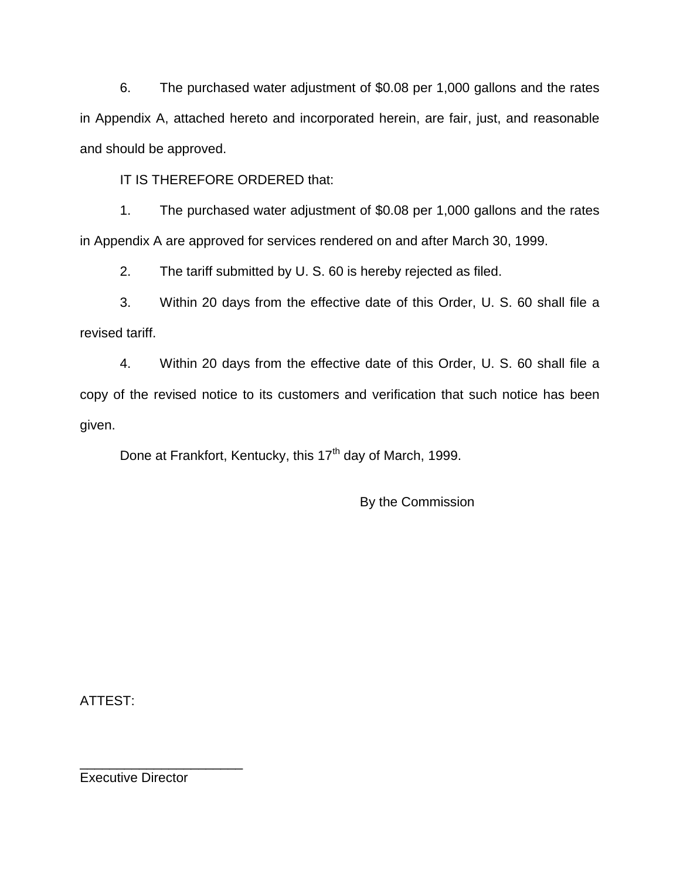6. The purchased water adjustment of \$0.08 per 1,000 gallons and the rates in Appendix A, attached hereto and incorporated herein, are fair, just, and reasonable and should be approved.

IT IS THEREFORE ORDERED that:

1. The purchased water adjustment of \$0.08 per 1,000 gallons and the rates in Appendix A are approved for services rendered on and after March 30, 1999.

2. The tariff submitted by U. S. 60 is hereby rejected as filed.

3. Within 20 days from the effective date of this Order, U. S. 60 shall file a revised tariff.

4. Within 20 days from the effective date of this Order, U. S. 60 shall file a copy of the revised notice to its customers and verification that such notice has been given.

Done at Frankfort, Kentucky, this 17<sup>th</sup> day of March, 1999.

By the Commission

ATTEST:

Executive Director

\_\_\_\_\_\_\_\_\_\_\_\_\_\_\_\_\_\_\_\_\_\_